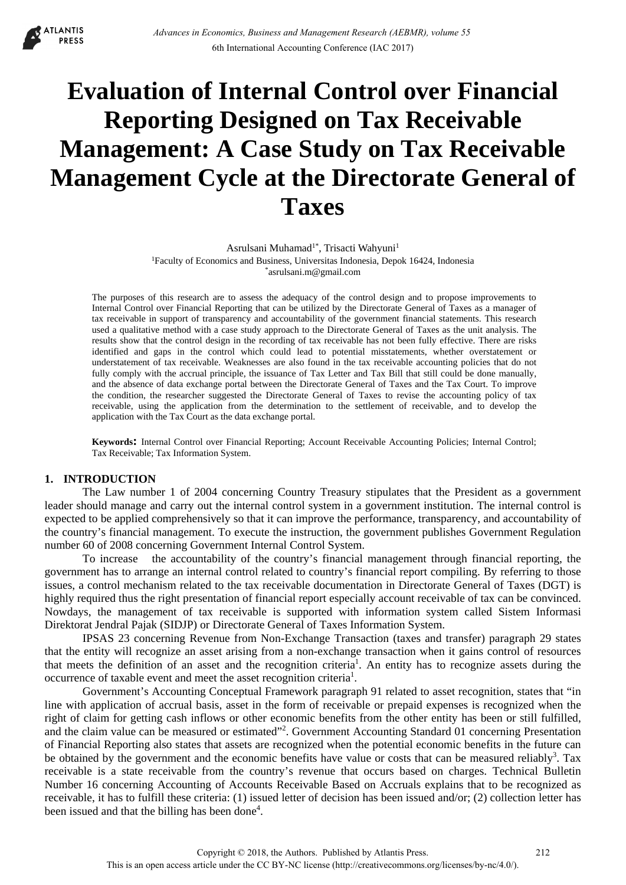

# **Evaluation of Internal Control over Financial Reporting Designed on Tax Receivable Management: A Case Study on Tax Receivable Management Cycle at the Directorate General of Taxes**

Asrulsani Muhamad<sup>1\*</sup>, Trisacti Wahyuni<sup>1</sup> 1Faculty of Economics and Business, Universitas Indonesia, Depok 16424, Indonesia \*asrulsani.m@gmail.com

The purposes of this research are to assess the adequacy of the control design and to propose improvements to Internal Control over Financial Reporting that can be utilized by the Directorate General of Taxes as a manager of tax receivable in support of transparency and accountability of the government financial statements. This research used a qualitative method with a case study approach to the Directorate General of Taxes as the unit analysis. The results show that the control design in the recording of tax receivable has not been fully effective. There are risks identified and gaps in the control which could lead to potential misstatements, whether overstatement or understatement of tax receivable. Weaknesses are also found in the tax receivable accounting policies that do not fully comply with the accrual principle, the issuance of Tax Letter and Tax Bill that still could be done manually, and the absence of data exchange portal between the Directorate General of Taxes and the Tax Court. To improve the condition, the researcher suggested the Directorate General of Taxes to revise the accounting policy of tax receivable, using the application from the determination to the settlement of receivable, and to develop the application with the Tax Court as the data exchange portal.

**Keywords:** Internal Control over Financial Reporting; Account Receivable Accounting Policies; Internal Control; Tax Receivable; Tax Information System.

## **1. INTRODUCTION**

The Law number 1 of 2004 concerning Country Treasury stipulates that the President as a government leader should manage and carry out the internal control system in a government institution. The internal control is expected to be applied comprehensively so that it can improve the performance, transparency, and accountability of the country's financial management. To execute the instruction, the government publishes Government Regulation number 60 of 2008 concerning Government Internal Control System.

To increase the accountability of the country's financial management through financial reporting, the government has to arrange an internal control related to country's financial report compiling. By referring to those issues, a control mechanism related to the tax receivable documentation in Directorate General of Taxes (DGT) is highly required thus the right presentation of financial report especially account receivable of tax can be convinced. Nowdays, the management of tax receivable is supported with information system called Sistem Informasi Direktorat Jendral Pajak (SIDJP) or Directorate General of Taxes Information System.

IPSAS 23 concerning Revenue from Non-Exchange Transaction (taxes and transfer) paragraph 29 states that the entity will recognize an asset arising from a non-exchange transaction when it gains control of resources that meets the definition of an asset and the recognition criteria<sup>1</sup>. An entity has to recognize assets during the occurrence of taxable event and meet the asset recognition criteria<sup>1</sup>.

Government's Accounting Conceptual Framework paragraph 91 related to asset recognition, states that "in line with application of accrual basis, asset in the form of receivable or prepaid expenses is recognized when the right of claim for getting cash inflows or other economic benefits from the other entity has been or still fulfilled, and the claim value can be measured or estimated"<sup>2</sup>. Government Accounting Standard 01 concerning Presentation of Financial Reporting also states that assets are recognized when the potential economic benefits in the future can be obtained by the government and the economic benefits have value or costs that can be measured reliably<sup>3</sup>. Tax receivable is a state receivable from the country's revenue that occurs based on charges. Technical Bulletin Number 16 concerning Accounting of Accounts Receivable Based on Accruals explains that to be recognized as receivable, it has to fulfill these criteria: (1) issued letter of decision has been issued and/or; (2) collection letter has been issued and that the billing has been done<sup>4</sup>.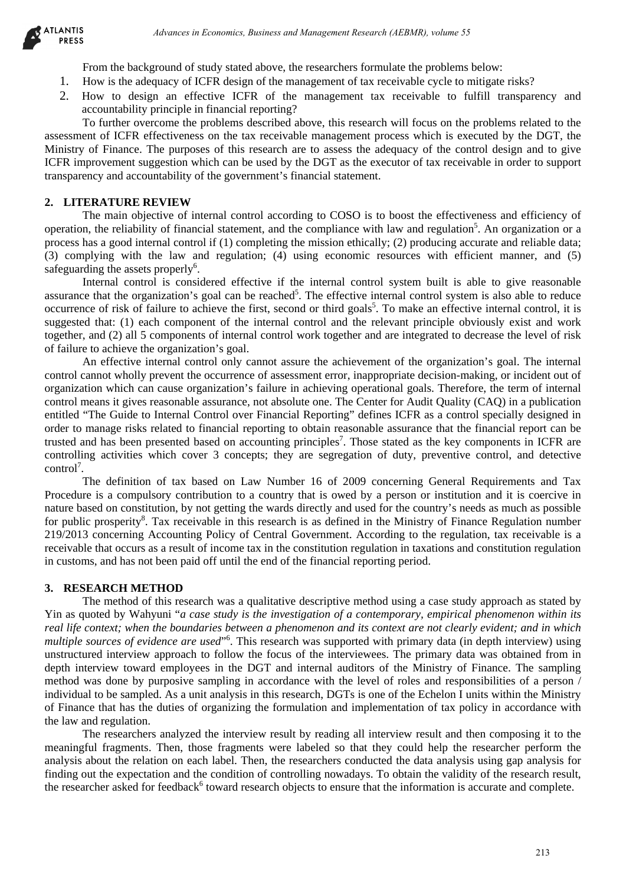

From the background of study stated above, the researchers formulate the problems below:

- 1. How is the adequacy of ICFR design of the management of tax receivable cycle to mitigate risks?
- 2. How to design an effective ICFR of the management tax receivable to fulfill transparency and accountability principle in financial reporting?

To further overcome the problems described above, this research will focus on the problems related to the assessment of ICFR effectiveness on the tax receivable management process which is executed by the DGT, the Ministry of Finance. The purposes of this research are to assess the adequacy of the control design and to give ICFR improvement suggestion which can be used by the DGT as the executor of tax receivable in order to support transparency and accountability of the government's financial statement.

## **2. LITERATURE REVIEW**

The main objective of internal control according to COSO is to boost the effectiveness and efficiency of operation, the reliability of financial statement, and the compliance with law and regulation<sup>5</sup>. An organization or a process has a good internal control if (1) completing the mission ethically; (2) producing accurate and reliable data; (3) complying with the law and regulation; (4) using economic resources with efficient manner, and (5) safeguarding the assets properly<sup>6</sup>.

Internal control is considered effective if the internal control system built is able to give reasonable assurance that the organization's goal can be reached<sup>5</sup>. The effective internal control system is also able to reduce occurrence of risk of failure to achieve the first, second or third goals<sup>5</sup>. To make an effective internal control, it is suggested that: (1) each component of the internal control and the relevant principle obviously exist and work together, and (2) all 5 components of internal control work together and are integrated to decrease the level of risk of failure to achieve the organization's goal.

An effective internal control only cannot assure the achievement of the organization's goal. The internal control cannot wholly prevent the occurrence of assessment error, inappropriate decision-making, or incident out of organization which can cause organization's failure in achieving operational goals. Therefore, the term of internal control means it gives reasonable assurance, not absolute one. The Center for Audit Quality (CAQ) in a publication entitled "The Guide to Internal Control over Financial Reporting" defines ICFR as a control specially designed in order to manage risks related to financial reporting to obtain reasonable assurance that the financial report can be trusted and has been presented based on accounting principles<sup>7</sup>. Those stated as the key components in ICFR are controlling activities which cover 3 concepts; they are segregation of duty, preventive control, and detective control<sup>7</sup>.

The definition of tax based on Law Number 16 of 2009 concerning General Requirements and Tax Procedure is a compulsory contribution to a country that is owed by a person or institution and it is coercive in nature based on constitution, by not getting the wards directly and used for the country's needs as much as possible for public prosperity<sup>8</sup>. Tax receivable in this research is as defined in the Ministry of Finance Regulation number 219/2013 concerning Accounting Policy of Central Government. According to the regulation, tax receivable is a receivable that occurs as a result of income tax in the constitution regulation in taxations and constitution regulation in customs, and has not been paid off until the end of the financial reporting period.

#### **3. RESEARCH METHOD**

The method of this research was a qualitative descriptive method using a case study approach as stated by Yin as quoted by Wahyuni "*a case study is the investigation of a contemporary, empirical phenomenon within its real life context; when the boundaries between a phenomenon and its context are not clearly evident; and in which multiple sources of evidence are used*"6 . This research was supported with primary data (in depth interview) using unstructured interview approach to follow the focus of the interviewees. The primary data was obtained from in depth interview toward employees in the DGT and internal auditors of the Ministry of Finance. The sampling method was done by purposive sampling in accordance with the level of roles and responsibilities of a person / individual to be sampled. As a unit analysis in this research, DGTs is one of the Echelon I units within the Ministry of Finance that has the duties of organizing the formulation and implementation of tax policy in accordance with the law and regulation. drivans in Economics, Busines and Management Research (AEBMR), volume 53<br>
Annota in Case (and Management Research convention (and May 200)<br>
and a Case (and May Sinkel above), the researches formulate left products in the c

The researchers analyzed the interview result by reading all interview result and then composing it to the meaningful fragments. Then, those fragments were labeled so that they could help the researcher perform the analysis about the relation on each label. Then, the researchers conducted the data analysis using gap analysis for finding out the expectation and the condition of controlling nowadays. To obtain the validity of the research result, the researcher asked for feedback<sup>6</sup> toward research objects to ensure that the information is accurate and complete.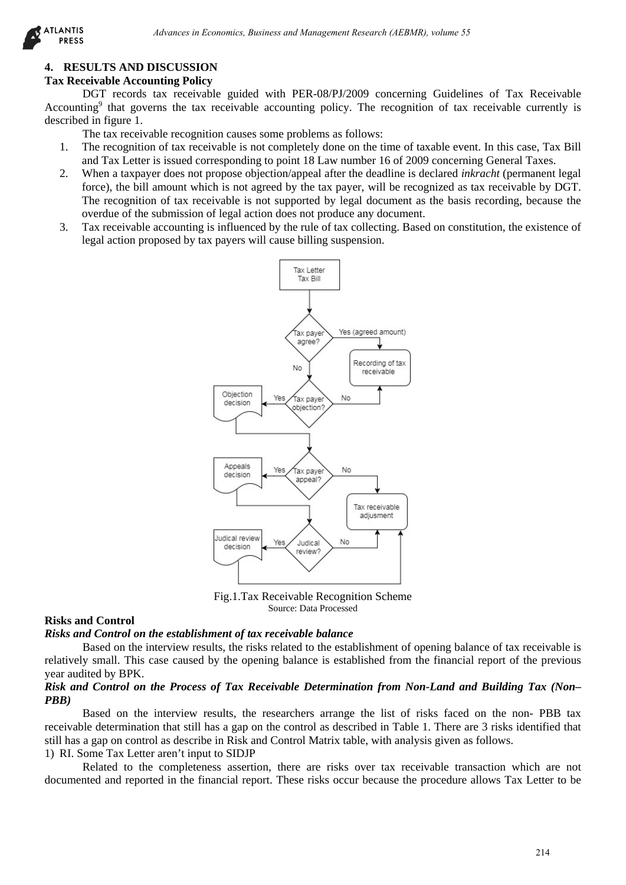## **4. RESULTS AND DISCUSSION**

## **Tax Receivable Accounting Policy**

DGT records tax receivable guided with PER-08/PJ/2009 concerning Guidelines of Tax Receivable Accounting<sup>9</sup> that governs the tax receivable accounting policy. The recognition of tax receivable currently is described in figure 1.

The tax receivable recognition causes some problems as follows:

- 1. The recognition of tax receivable is not completely done on the time of taxable event. In this case, Tax Bill and Tax Letter is issued corresponding to point 18 Law number 16 of 2009 concerning General Taxes.
- 2. When a taxpayer does not propose objection/appeal after the deadline is declared *inkracht* (permanent legal force), the bill amount which is not agreed by the tax payer, will be recognized as tax receivable by DGT. The recognition of tax receivable is not supported by legal document as the basis recording, because the overdue of the submission of legal action does not produce any document.
- 3. Tax receivable accounting is influenced by the rule of tax collecting. Based on constitution, the existence of legal action proposed by tax payers will cause billing suspension.



Fig.1.Tax Receivable Recognition Scheme Source: Data Processed

#### **Risks and Control**

#### *Risks and Control on the establishment of tax receivable balance*

Based on the interview results, the risks related to the establishment of opening balance of tax receivable is relatively small. This case caused by the opening balance is established from the financial report of the previous year audited by BPK.

## *Risk and Control on the Process of Tax Receivable Determination from Non-Land and Building Tax (Non– PBB)*

Based on the interview results, the researchers arrange the list of risks faced on the non- PBB tax receivable determination that still has a gap on the control as described in Table 1. There are 3 risks identified that still has a gap on control as describe in Risk and Control Matrix table, with analysis given as follows. 1) RI. Some Tax Letter aren't input to SIDJP

Related to the completeness assertion, there are risks over tax receivable transaction which are not documented and reported in the financial report. These risks occur because the procedure allows Tax Letter to be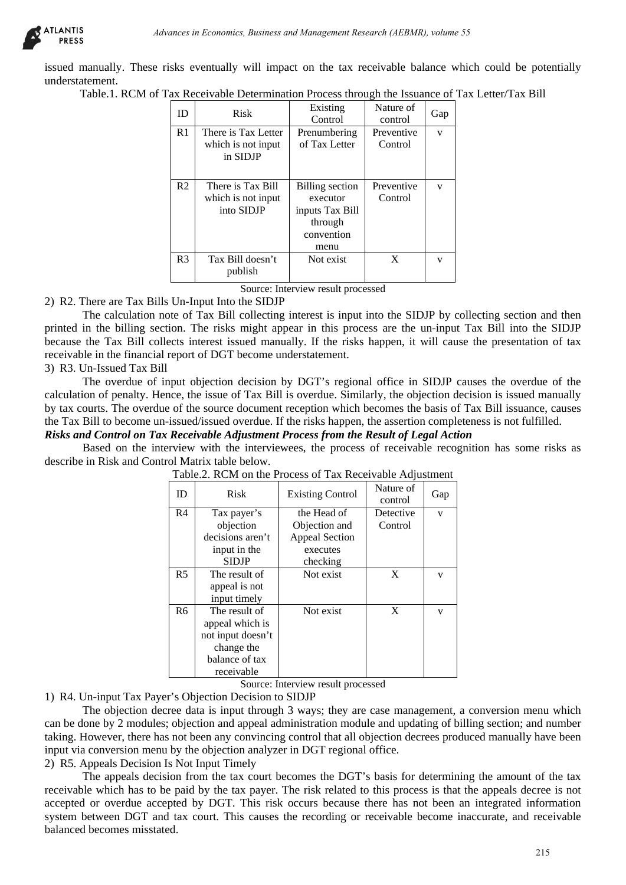

issued manually. These risks eventually will impact on the tax receivable balance which could be potentially understatement.

Table.1. RCM of Tax Receivable Determination Process through the Issuance of Tax Letter/Tax Bill

| ID             | <b>Risk</b>                                           | Existing<br>Control                                                                    | Nature of<br>control  | Gap |
|----------------|-------------------------------------------------------|----------------------------------------------------------------------------------------|-----------------------|-----|
| R <sub>1</sub> | There is Tax Letter<br>which is not input<br>in SIDJP | Prenumbering<br>of Tax Letter                                                          | Preventive<br>Control | v   |
| R <sub>2</sub> | There is Tax Bill<br>which is not input<br>into SIDJP | <b>Billing</b> section<br>executor<br>inputs Tax Bill<br>through<br>convention<br>menu | Preventive<br>Control | v   |
| R <sub>3</sub> | Tax Bill doesn't<br>publish                           | Not exist                                                                              | X                     | v   |

2) R2. There are Tax Bills Un-Input Into the SIDJP

The calculation note of Tax Bill collecting interest is input into the SIDJP by collecting section and then printed in the billing section. The risks might appear in this process are the un-input Tax Bill into the SIDJP because the Tax Bill collects interest issued manually. If the risks happen, it will cause the presentation of tax receivable in the financial report of DGT become understatement.

3) R3. Un-Issued Tax Bill

The overdue of input objection decision by DGT's regional office in SIDJP causes the overdue of the calculation of penalty. Hence, the issue of Tax Bill is overdue. Similarly, the objection decision is issued manually by tax courts. The overdue of the source document reception which becomes the basis of Tax Bill issuance, causes the Tax Bill to become un-issued/issued overdue. If the risks happen, the assertion completeness is not fulfilled.

# *Risks and Control on Tax Receivable Adjustment Process from the Result of Legal Action*

Based on the interview with the interviewees, the process of receivable recognition has some risks as describe in Risk and Control Matrix table below.

| ID                                                       | of Tax Receivable Determination Process through the Issuance of Tax Letter/Tax Bill<br>Risk                                                            | Existing<br>Control                                                                      | Nature of<br>control  | Gap |  |
|----------------------------------------------------------|--------------------------------------------------------------------------------------------------------------------------------------------------------|------------------------------------------------------------------------------------------|-----------------------|-----|--|
| R <sub>1</sub>                                           | There is Tax Letter<br>which is not input<br>in SIDJP                                                                                                  | Prenumbering<br>of Tax Letter                                                            | Preventive<br>Control | V   |  |
| R <sub>2</sub>                                           | There is Tax Bill<br>which is not input<br>into SIDJP                                                                                                  | <b>Billing</b> section<br>executor<br>inputs Tax Bill<br>through<br>convention<br>menu   | Preventive<br>Control | V   |  |
| R <sub>3</sub>                                           | Tax Bill doesn't<br>publish                                                                                                                            | Not exist                                                                                | X                     | V   |  |
|                                                          | due of the source document reception which becomes the basis of Tax Bill issuance,                                                                     |                                                                                          |                       |     |  |
|                                                          | Tax Receivable Adjustment Process from the Result of Legal Action<br>interview with the interviewees, the process of receivable recognition has some r | un-issued/issued overdue. If the risks happen, the assertion completeness is not fulfill |                       |     |  |
|                                                          | ontrol Matrix table below.<br>Table.2. RCM on the Process of Tax Receivable Adjustment                                                                 |                                                                                          |                       |     |  |
|                                                          | Risk                                                                                                                                                   | <b>Existing Control</b>                                                                  | Nature of<br>control  | Gap |  |
|                                                          | Tax payer's<br>objection<br>decisions aren't<br>input in the                                                                                           | the Head of<br>Objection and<br><b>Appeal Section</b><br>executes                        | Detective<br>Control  | V   |  |
|                                                          | <b>SIDJP</b><br>The result of<br>appeal is not<br>input timely                                                                                         | checking<br>Not exist                                                                    | X                     | V   |  |
| ID<br>R <sub>4</sub><br>R <sub>5</sub><br>R <sub>6</sub> | The result of<br>appeal which is<br>not input doesn't<br>change the<br>balance of tax<br>receivable                                                    | Not exist<br>Source: Interview result processed                                          | X                     | V   |  |

Source: Interview result processed

1) R4. Un-input Tax Payer's Objection Decision to SIDJP

The objection decree data is input through 3 ways; they are case management, a conversion menu which can be done by 2 modules; objection and appeal administration module and updating of billing section; and number taking. However, there has not been any convincing control that all objection decrees produced manually have been input via conversion menu by the objection analyzer in DGT regional office.

2) R5. Appeals Decision Is Not Input Timely

The appeals decision from the tax court becomes the DGT's basis for determining the amount of the tax receivable which has to be paid by the tax payer. The risk related to this process is that the appeals decree is not accepted or overdue accepted by DGT. This risk occurs because there has not been an integrated information system between DGT and tax court. This causes the recording or receivable become inaccurate, and receivable balanced becomes misstated.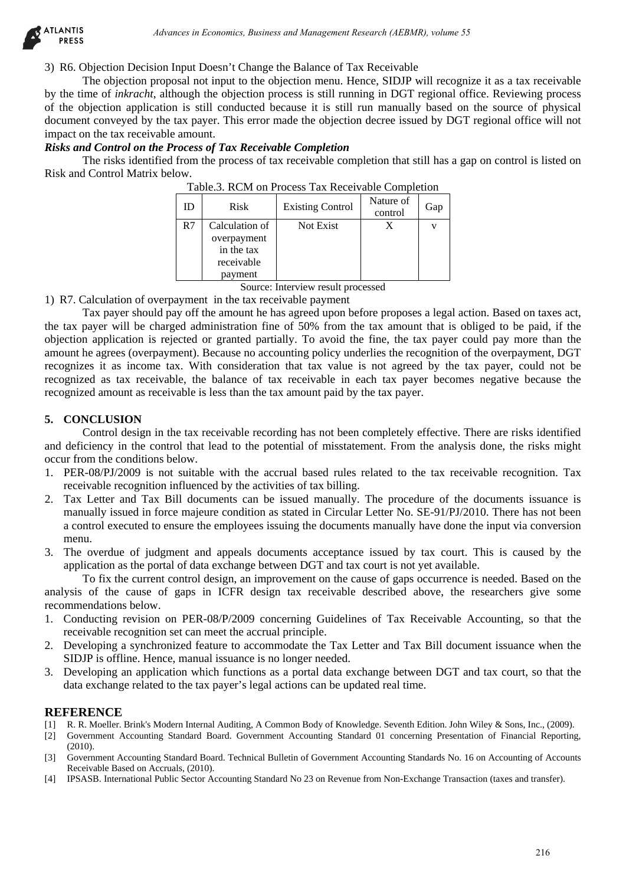

3) R6. Objection Decision Input Doesn't Change the Balance of Tax Receivable

The objection proposal not input to the objection menu. Hence, SIDJP will recognize it as a tax receivable by the time of *inkracht*, although the objection process is still running in DGT regional office. Reviewing process of the objection application is still conducted because it is still run manually based on the source of physical document conveyed by the tax payer. This error made the objection decree issued by DGT regional office will not impact on the tax receivable amount.

#### *Risks and Control on the Process of Tax Receivable Completion*

The risks identified from the process of tax receivable completion that still has a gap on control is listed on Risk and Control Matrix below.

| ID | <b>Risk</b>                                                          | <b>Existing Control</b> | Nature of<br>control | Gap |
|----|----------------------------------------------------------------------|-------------------------|----------------------|-----|
| R7 | Calculation of<br>overpayment<br>in the tax<br>receivable<br>payment | Not Exist               |                      |     |

Source: Interview result processed

1) R7. Calculation of overpayment in the tax receivable payment

Tax payer should pay off the amount he has agreed upon before proposes a legal action. Based on taxes act, the tax payer will be charged administration fine of 50% from the tax amount that is obliged to be paid, if the objection application is rejected or granted partially. To avoid the fine, the tax payer could pay more than the amount he agrees (overpayment). Because no accounting policy underlies the recognition of the overpayment, DGT recognizes it as income tax. With consideration that tax value is not agreed by the tax payer, could not be recognized as tax receivable, the balance of tax receivable in each tax payer becomes negative because the recognized amount as receivable is less than the tax amount paid by the tax payer. *Advances in Economics, Business and Management Research (AEBMR), volume 55*<br>
And They Discussive (Flasspe the Balance of Tax Research) the illustration of the properties in a state conomics is still remained in Tax Resear

#### **5. CONCLUSION**

Control design in the tax receivable recording has not been completely effective. There are risks identified and deficiency in the control that lead to the potential of misstatement. From the analysis done, the risks might occur from the conditions below.

- 1. PER-08/PJ/2009 is not suitable with the accrual based rules related to the tax receivable recognition. Tax receivable recognition influenced by the activities of tax billing.
- 2. Tax Letter and Tax Bill documents can be issued manually. The procedure of the documents issuance is manually issued in force majeure condition as stated in Circular Letter No. SE-91/PJ/2010. There has not been a control executed to ensure the employees issuing the documents manually have done the input via conversion menu.
- 3. The overdue of judgment and appeals documents acceptance issued by tax court. This is caused by the application as the portal of data exchange between DGT and tax court is not yet available.

To fix the current control design, an improvement on the cause of gaps occurrence is needed. Based on the analysis of the cause of gaps in ICFR design tax receivable described above, the researchers give some recommendations below.

- 1. Conducting revision on PER-08/P/2009 concerning Guidelines of Tax Receivable Accounting, so that the receivable recognition set can meet the accrual principle.
- 2. Developing a synchronized feature to accommodate the Tax Letter and Tax Bill document issuance when the SIDJP is offline. Hence, manual issuance is no longer needed.
- 3. Developing an application which functions as a portal data exchange between DGT and tax court, so that the data exchange related to the tax payer's legal actions can be updated real time.

## **REFERENCE**

- [1] R. R. Moeller. Brink's Modern Internal Auditing, A Common Body of Knowledge. Seventh Edition. John Wiley & Sons, Inc., (2009).
- [2] Government Accounting Standard Board. Government Accounting Standard 01 concerning Presentation of Financial Reporting, (2010).
- [3] Government Accounting Standard Board. Technical Bulletin of Government Accounting Standards No. 16 on Accounting of Accounts Receivable Based on Accruals, (2010).
- [4] IPSASB. International Public Sector Accounting Standard No 23 on Revenue from Non-Exchange Transaction (taxes and transfer).